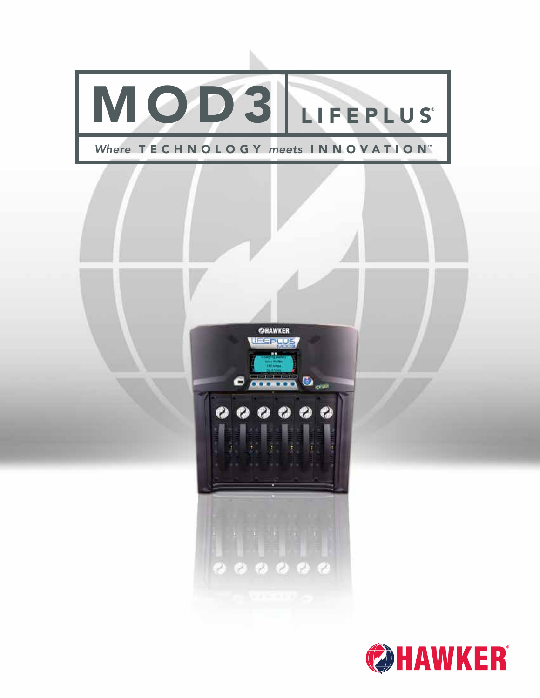

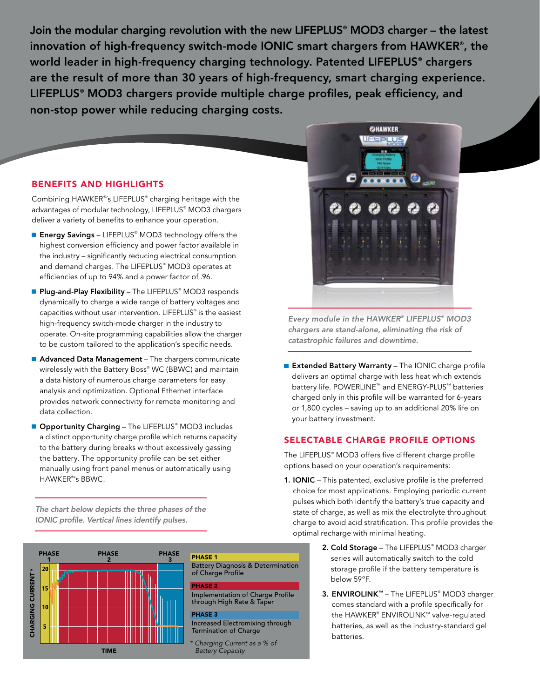Join the modular charging revolution with the new LIFEPLUS® MOD3 charger – the latest innovation of high-frequency switch-mode IONIC smart chargers from HAWKER® , the world leader in high-frequency charging technology. Patented LIFEPLUS® chargers are the result of more than 30 years of high-frequency, smart charging experience. LIFEPLUS® MOD3 chargers provide multiple charge profiles, peak efficiency, and non-stop power while reducing charging costs.

## BENEFITS AND HIGHLIGHTS

Combining HAWKER® 's LIFEPLUS® charging heritage with the advantages of modular technology, LIFEPLUS® MOD3 chargers deliver a variety of benefits to enhance your operation.

- **Energy Savings –** LIFEPLUS® MOD3 technology offers the highest conversion efficiency and power factor available in the industry – significantly reducing electrical consumption and demand charges. The LIFEPLUS® MOD3 operates at efficiencies of up to 94% and a power factor of .96.
- Plug-and-Play Flexibility The LIFEPLUS® MOD3 responds dynamically to charge a wide range of battery voltages and capacities without user intervention. LIFEPLUS® is the easiest high-frequency switch-mode charger in the industry to operate. On-site programming capabilities allow the charger to be custom tailored to the application's specific needs.
- Advanced Data Management The chargers communicate wirelessly with the Battery Boss® WC (BBWC) and maintain a data history of numerous charge parameters for easy analysis and optimization. Optional Ethernet interface provides network connectivity for remote monitoring and data collection.
- Opportunity Charging The LIFEPLUS® MOD3 includes a distinct opportunity charge profile which returns capacity to the battery during breaks without excessively gassing the battery. The opportunity profile can be set either manually using front panel menus or automatically using HAWKER® 's BBWC.

*The chart below depicts the three phases of the IONIC profile. Vertical lines identify pulses.*



#### PHASE 1

Battery Diagnosis & Determination of Charge Profile

#### PHASE 2

Implementation of Charge Profile through High Rate & Taper

#### PHASE 3

Increased Electromixing through Termination of Charge

*\* Charging Current as a % of Battery Capacity*

2. Cold Storage – The LIFEPLUS® MOD3 charger series will automatically switch to the cold storage profile if the battery temperature is below 59ºF.

charge to avoid acid stratification. This profile provides the

3. ENVIROLINK™ - The LIFEPLUS® MOD3 charger comes standard with a profile specifically for the HAWKER® ENVIROLINK™ valve-regulated batteries, as well as the industry-standard gel batteries.



**GHAWKER** UESPLUS

*Every module in the HAWKER® LIFEPLUS® MOD3 chargers are stand-alone, eliminating the risk of catastrophic failures and downtime.*

Extended Battery Warranty - The IONIC charge profile delivers an optimal charge with less heat which extends battery life. POWERLINE™ and ENERGY-PLUS™ batteries charged only in this profile will be warranted for 6-years or 1,800 cycles – saving up to an additional 20% life on your battery investment.

## SELECTABLE CHARGE PROFILE OPTIONS

The LIFEPLUS® MOD3 offers five different charge profile options based on your operation's requirements:

1. IONIC – This patented, exclusive profile is the preferred choice for most applications. Employing periodic current pulses which both identify the battery's true capacity and state of charge, as well as mix the electrolyte throughout

optimal recharge with minimal heating.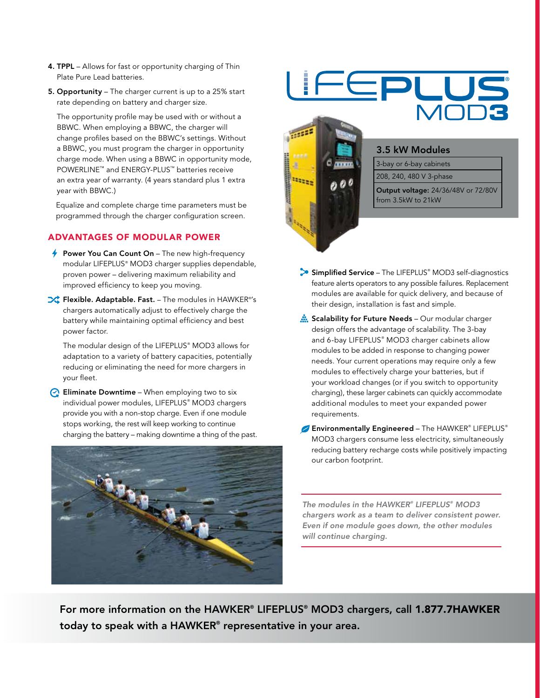- 4. TPPL Allows for fast or opportunity charging of Thin Plate Pure Lead batteries.
- 5. Opportunity The charger current is up to a 25% start rate depending on battery and charger size.

The opportunity profile may be used with or without a BBWC. When employing a BBWC, the charger will change profiles based on the BBWC's settings. Without a BBWC, you must program the charger in opportunity charge mode. When using a BBWC in opportunity mode, POWERLINE™ and ENERGY-PLUS™ batteries receive an extra year of warranty. (4 years standard plus 1 extra year with BBWC.)

Equalize and complete charge time parameters must be programmed through the charger configuration screen.

## ADVANTAGES OF MODULAR POWER

- $\rightarrow$  Power You Can Count On The new high-frequency modular LIFEPLUS® MOD3 charger supplies dependable, proven power – delivering maximum reliability and improved efficiency to keep you moving.
- Flexible. Adaptable. Fast. The modules in HAWKER® 's chargers automatically adjust to effectively charge the battery while maintaining optimal efficiency and best power factor.

The modular design of the LIFEPLUS® MOD3 allows for adaptation to a variety of battery capacities, potentially reducing or eliminating the need for more chargers in your fleet.

 $\odot$  Eliminate Downtime – When employing two to six individual power modules, LIFEPLUS® MOD3 chargers provide you with a non-stop charge. Even if one module stops working, the rest will keep working to continue charging the battery – making downtime a thing of the past.





- Simplified Service The LIFEPLUS® MOD3 self-diagnostics feature alerts operators to any possible failures. Replacement modules are available for quick delivery, and because of their design, installation is fast and simple.
- Scalability for Future Needs Our modular charger design offers the advantage of scalability. The 3-bay and 6-bay LIFEPLUS® MOD3 charger cabinets allow modules to be added in response to changing power needs. Your current operations may require only a few modules to effectively charge your batteries, but if your workload changes (or if you switch to opportunity charging), these larger cabinets can quickly accommodate additional modules to meet your expanded power requirements.
- Environmentally Engineered The HAWKER® LIFEPLUS® MOD3 chargers consume less electricity, simultaneously reducing battery recharge costs while positively impacting our carbon footprint.

*The modules in the HAWKER® LIFEPLUS® MOD3 chargers work as a team to deliver consistent power. Even if one module goes down, the other modules will continue charging.*

For more information on the HAWKER® LIFEPLUS® MOD3 chargers, call 1.877.7HAWKER today to speak with a HAWKER® representative in your area.